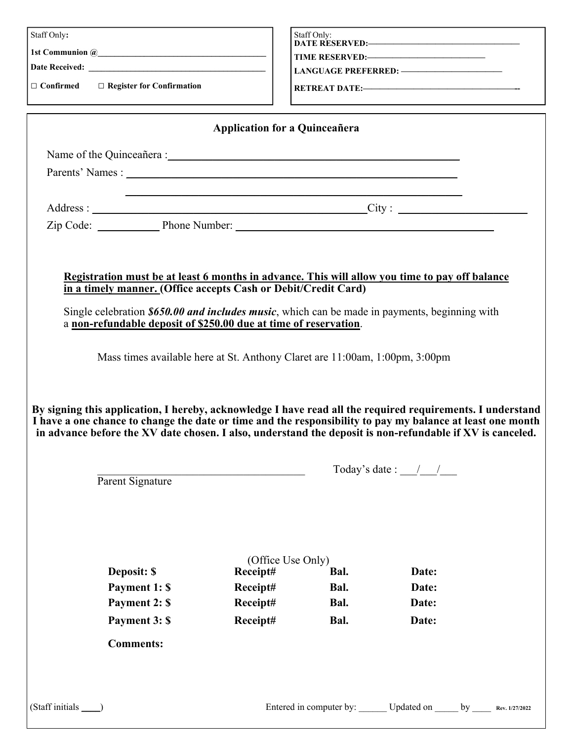| Staff Only:                                                                                                                                                                                                                                                                                                                                                                 |                                           | Staff Only:          |                                     |  |  |  |  |
|-----------------------------------------------------------------------------------------------------------------------------------------------------------------------------------------------------------------------------------------------------------------------------------------------------------------------------------------------------------------------------|-------------------------------------------|----------------------|-------------------------------------|--|--|--|--|
|                                                                                                                                                                                                                                                                                                                                                                             |                                           |                      |                                     |  |  |  |  |
|                                                                                                                                                                                                                                                                                                                                                                             |                                           |                      |                                     |  |  |  |  |
|                                                                                                                                                                                                                                                                                                                                                                             |                                           |                      |                                     |  |  |  |  |
| $\Box$ Confirmed $\Box$ Register for Confirmation                                                                                                                                                                                                                                                                                                                           |                                           |                      |                                     |  |  |  |  |
|                                                                                                                                                                                                                                                                                                                                                                             | <b>Application for a Quinceañera</b>      |                      |                                     |  |  |  |  |
|                                                                                                                                                                                                                                                                                                                                                                             |                                           |                      |                                     |  |  |  |  |
|                                                                                                                                                                                                                                                                                                                                                                             |                                           |                      |                                     |  |  |  |  |
|                                                                                                                                                                                                                                                                                                                                                                             |                                           |                      |                                     |  |  |  |  |
|                                                                                                                                                                                                                                                                                                                                                                             |                                           | Address: City: City: |                                     |  |  |  |  |
|                                                                                                                                                                                                                                                                                                                                                                             |                                           |                      |                                     |  |  |  |  |
| a non-refundable deposit of \$250.00 due at time of reservation.<br>Mass times available here at St. Anthony Claret are 11:00am, 1:00pm, 3:00pm<br>By signing this application, I hereby, acknowledge I have read all the required requirements. I understand<br>I have a one chance to change the date or time and the responsibility to pay my balance at least one month |                                           |                      |                                     |  |  |  |  |
| in advance before the XV date chosen. I also, understand the deposit is non-refundable if XV is canceled.                                                                                                                                                                                                                                                                   |                                           |                      |                                     |  |  |  |  |
|                                                                                                                                                                                                                                                                                                                                                                             |                                           |                      | Today's date : $\frac{1}{\sqrt{2}}$ |  |  |  |  |
| Parent Signature                                                                                                                                                                                                                                                                                                                                                            |                                           |                      |                                     |  |  |  |  |
| Deposit: \$<br>Payment 1: \$                                                                                                                                                                                                                                                                                                                                                | (Office Use Only)<br>Receipt#<br>Receipt# | Bal.<br>Bal.         | Date:<br>Date:                      |  |  |  |  |
| Payment 2: \$                                                                                                                                                                                                                                                                                                                                                               | Receipt#                                  | Bal.                 | Date:                               |  |  |  |  |
| Payment 3: \$                                                                                                                                                                                                                                                                                                                                                               | Receipt#                                  | Bal.                 | Date:                               |  |  |  |  |
| <b>Comments:</b>                                                                                                                                                                                                                                                                                                                                                            |                                           |                      |                                     |  |  |  |  |
|                                                                                                                                                                                                                                                                                                                                                                             |                                           |                      |                                     |  |  |  |  |